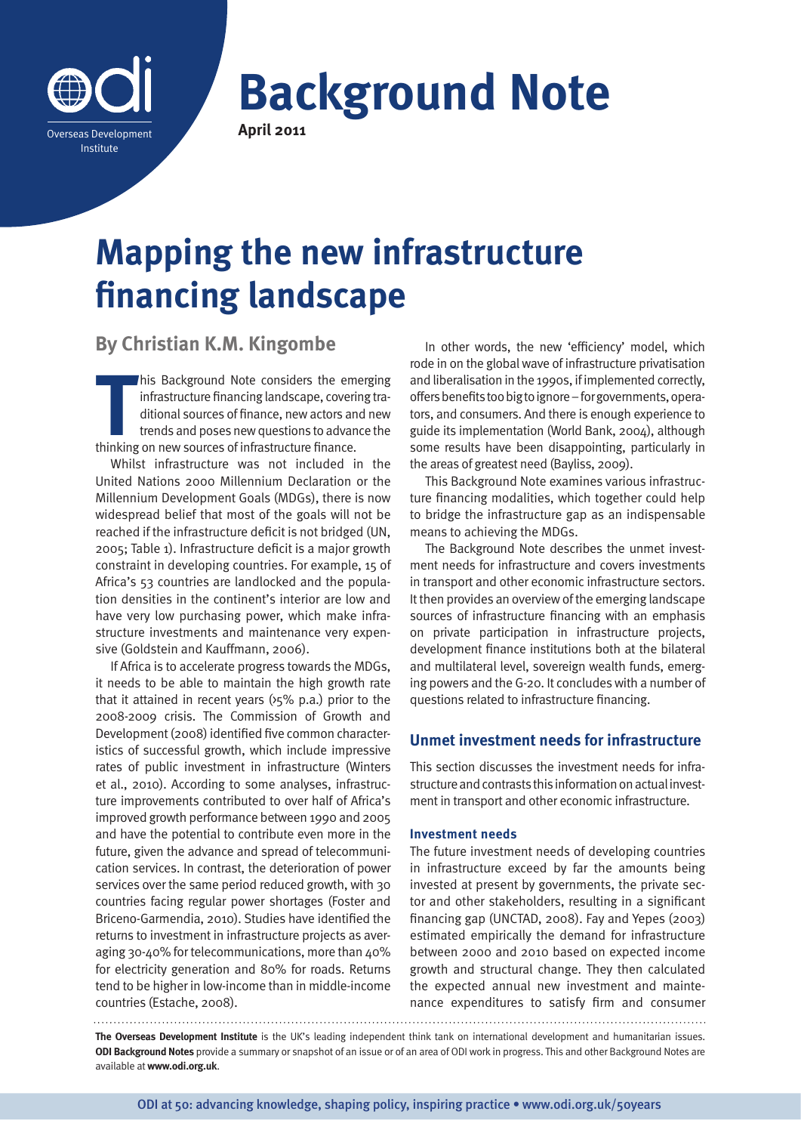

**Background Note April 2011**

# **Mapping the new infrastructure financing landscape**

**By Christian K.M. Kingombe**

This Background Note considers the em-<br>
infrastructure financing landscape, coverii<br>
ditional sources of finance, new actors an<br>
trends and poses new questions to advan<br>
thinking on new sources of infrastructure finance. his Background Note considers the emerging infrastructure financing landscape, covering traditional sources of finance, new actors and new trends and poses new questions to advance the

Whilst infrastructure was not included in the United Nations 2000 Millennium Declaration or the Millennium Development Goals (MDGs), there is now widespread belief that most of the goals will not be reached if the infrastructure deficit is not bridged (UN, 2005; Table 1). Infrastructure deficit is a major growth constraint in developing countries. For example, 15 of Africa's 53 countries are landlocked and the population densities in the continent's interior are low and have very low purchasing power, which make infrastructure investments and maintenance very expensive (Goldstein and Kauffmann, 2006).

If Africa is to accelerate progress towards the MDGs, it needs to be able to maintain the high growth rate that it attained in recent years  $(x, 5\%)$  p.a.) prior to the 2008-2009 crisis. The Commission of Growth and Development (2008) identified five common characteristics of successful growth, which include impressive rates of public investment in infrastructure (Winters et al., 2010). According to some analyses, infrastructure improvements contributed to over half of Africa's improved growth performance between 1990 and 2005 and have the potential to contribute even more in the future, given the advance and spread of telecommunication services. In contrast, the deterioration of power services over the same period reduced growth, with 30 countries facing regular power shortages (Foster and Briceno-Garmendia, 2010). Studies have identified the returns to investment in infrastructure projects as averaging 30-40% for telecommunications, more than 40% for electricity generation and 80% for roads. Returns tend to be higher in low-income than in middle-income countries (Estache, 2008).

In other words, the new 'efficiency' model, which rode in on the global wave of infrastructure privatisation and liberalisation in the 1990s, if implemented correctly, offers benefits too big to ignore – for governments, operators, and consumers. And there is enough experience to guide its implementation (World Bank, 2004), although some results have been disappointing, particularly in the areas of greatest need (Bayliss, 2009).

This Background Note examines various infrastructure financing modalities, which together could help to bridge the infrastructure gap as an indispensable means to achieving the MDGs.

The Background Note describes the unmet investment needs for infrastructure and covers investments in transport and other economic infrastructure sectors. It then provides an overview of the emerging landscape sources of infrastructure financing with an emphasis on private participation in infrastructure projects, development finance institutions both at the bilateral and multilateral level, sovereign wealth funds, emerging powers and the G-20. It concludes with a number of questions related to infrastructure financing.

# **Unmet investment needs for infrastructure**

This section discusses the investment needs for infrastructure and contrasts this information on actual investment in transport and other economic infrastructure.

## **Investment needs**

The future investment needs of developing countries in infrastructure exceed by far the amounts being invested at present by governments, the private sector and other stakeholders, resulting in a significant financing gap (UNCTAD, 2008). Fay and Yepes (2003) estimated empirically the demand for infrastructure between 2000 and 2010 based on expected income growth and structural change. They then calculated the expected annual new investment and maintenance expenditures to satisfy firm and consumer

**The Overseas Development Institute** is the UK's leading independent think tank on international development and humanitarian issues. **ODI Background Notes** provide a summary or snapshot of an issue or of an area of ODI work in progress. This and other Background Notes are available at **www.odi.org.uk**.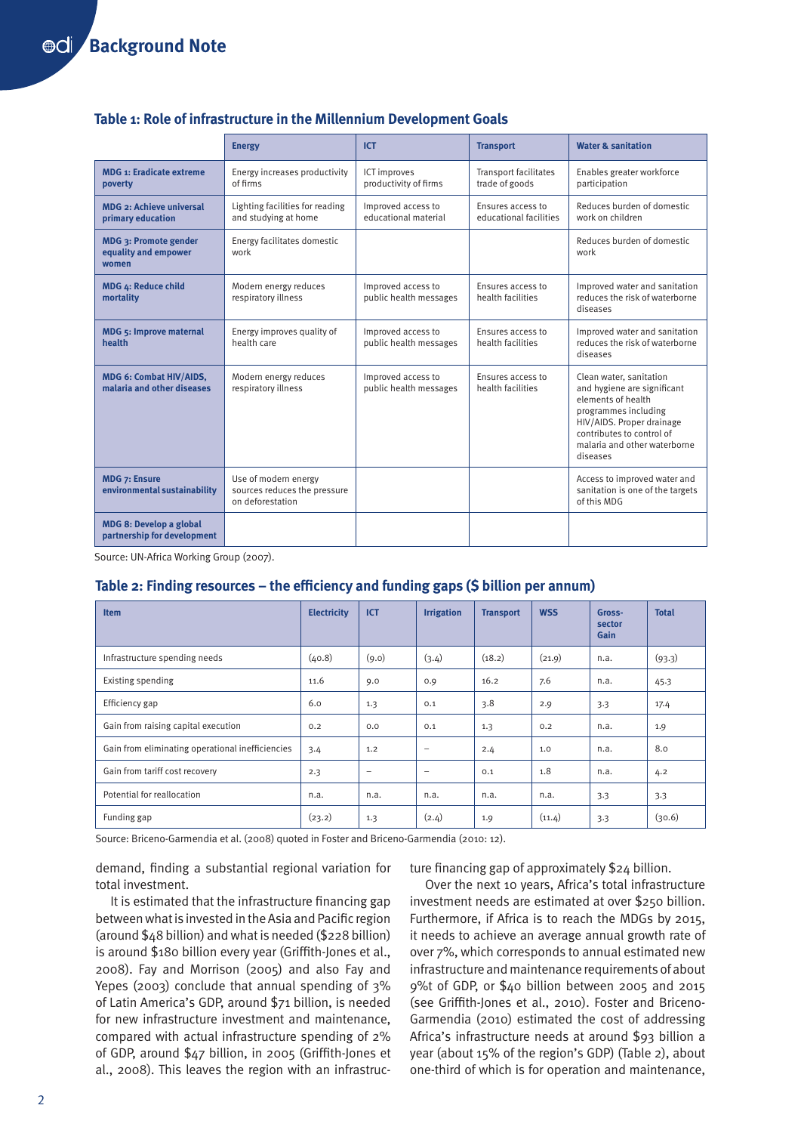# **Table 1: Role of infrastructure in the Millennium Development Goals**

|                                                               | <b>Energy</b>                                                            | <b>ICT</b>                                   | <b>Transport</b>                               | <b>Water &amp; sanitation</b>                                                                                                                                                                              |  |
|---------------------------------------------------------------|--------------------------------------------------------------------------|----------------------------------------------|------------------------------------------------|------------------------------------------------------------------------------------------------------------------------------------------------------------------------------------------------------------|--|
| <b>MDG 1: Eradicate extreme</b><br>poverty                    | Energy increases productivity<br>of firms                                | ICT improves<br>productivity of firms        | <b>Transport facilitates</b><br>trade of goods | Enables greater workforce<br>participation                                                                                                                                                                 |  |
| <b>MDG 2: Achieve universal</b><br>primary education          | Lighting facilities for reading<br>and studying at home                  | Improved access to<br>educational material   | Ensures access to<br>educational facilities    | Reduces burden of domestic<br>work on children                                                                                                                                                             |  |
| MDG 3: Promote gender<br>equality and empower<br>women        | Energy facilitates domestic<br>work                                      |                                              |                                                | Reduces burden of domestic<br>work                                                                                                                                                                         |  |
| MDG 4: Reduce child<br>mortality                              | Modern energy reduces<br>respiratory illness                             | Improved access to<br>public health messages | Ensures access to<br>health facilities         | Improved water and sanitation<br>reduces the risk of waterborne<br>diseases                                                                                                                                |  |
| <b>MDG 5: Improve maternal</b><br>health                      | Energy improves quality of<br>health care                                | Improved access to<br>public health messages | Ensures access to<br>health facilities         | Improved water and sanitation<br>reduces the risk of waterborne<br>diseases                                                                                                                                |  |
| <b>MDG 6: Combat HIV/AIDS,</b><br>malaria and other diseases  | Modern energy reduces<br>respiratory illness                             | Improved access to<br>public health messages | Ensures access to<br>health facilities         | Clean water, sanitation<br>and hygiene are significant<br>elements of health<br>programmes including<br>HIV/AIDS. Proper drainage<br>contributes to control of<br>malaria and other waterborne<br>diseases |  |
| <b>MDG 7: Ensure</b><br>environmental sustainability          | Use of modern energy<br>sources reduces the pressure<br>on deforestation |                                              |                                                | Access to improved water and<br>sanitation is one of the targets<br>of this MDG                                                                                                                            |  |
| <b>MDG 8: Develop a global</b><br>partnership for development |                                                                          |                                              |                                                |                                                                                                                                                                                                            |  |

Source: UN-Africa Working Group (2007).

# **Table 2: Finding resources – the efficiency and funding gaps (\$ billion per annum)**

| <b>Item</b>                                      | <b>Electricity</b> | <b>ICT</b>               | <b>Irrigation</b> | <b>Transport</b> | <b>WSS</b> | Gross-<br>sector<br>Gain | <b>Total</b> |
|--------------------------------------------------|--------------------|--------------------------|-------------------|------------------|------------|--------------------------|--------------|
| Infrastructure spending needs                    | (40.8)             | (9.0)                    | (3.4)             | (18.2)           | (21.9)     | n.a.                     | (93.3)       |
| Existing spending                                | 11.6               | 9.0                      | 0.9               | 16.2             | 7.6        | n.a.                     | 45.3         |
| Efficiency gap                                   | 6.0                | 1.3                      | 0.1               | 3.8              | 2.9        | 3.3                      | 17.4         |
| Gain from raising capital execution              | 0.2                | 0.0                      | 0.1               | 1.3              | 0.2        | n.a.                     | 1.9          |
| Gain from eliminating operational inefficiencies | 3.4                | 1.2                      | $\qquad \qquad -$ | 2.4              | 1.0        | n.a.                     | 8.0          |
| Gain from tariff cost recovery                   | 2.3                | $\overline{\phantom{0}}$ | $\qquad \qquad$   | 0.1              | 1.8        | n.a.                     | 4.2          |
| Potential for reallocation                       | n.a.               | n.a.                     | n.a.              | n.a.             | n.a.       | 3.3                      | 3.3          |
| Funding gap                                      | (23.2)             | 1.3                      | (2.4)             | 1.9              | (11.4)     | 3.3                      | (30.6)       |

Source: Briceno-Garmendia et al. (2008) quoted in Foster and Briceno-Garmendia (2010: 12).

demand, finding a substantial regional variation for total investment.

It is estimated that the infrastructure financing gap between what is invested in the Asia and Pacific region (around \$48 billion) and what is needed (\$228 billion) is around \$180 billion every year (Griffith-Jones et al., 2008). Fay and Morrison (2005) and also Fay and Yepes (2003) conclude that annual spending of 3% of Latin America's GDP, around \$71 billion, is needed for new infrastructure investment and maintenance, compared with actual infrastructure spending of 2% of GDP, around \$47 billion, in 2005 (Griffith-Jones et al., 2008). This leaves the region with an infrastructure financing gap of approximately \$24 billion.

Over the next 10 years, Africa's total infrastructure investment needs are estimated at over \$250 billion. Furthermore, if Africa is to reach the MDGs by 2015, it needs to achieve an average annual growth rate of over 7%, which corresponds to annual estimated new infrastructure and maintenance requirements of about 9%t of GDP, or \$40 billion between 2005 and 2015 (see Griffith-Jones et al., 2010). Foster and Briceno-Garmendia (2010) estimated the cost of addressing Africa's infrastructure needs at around \$93 billion a year (about 15% of the region's GDP) (Table 2), about one-third of which is for operation and maintenance,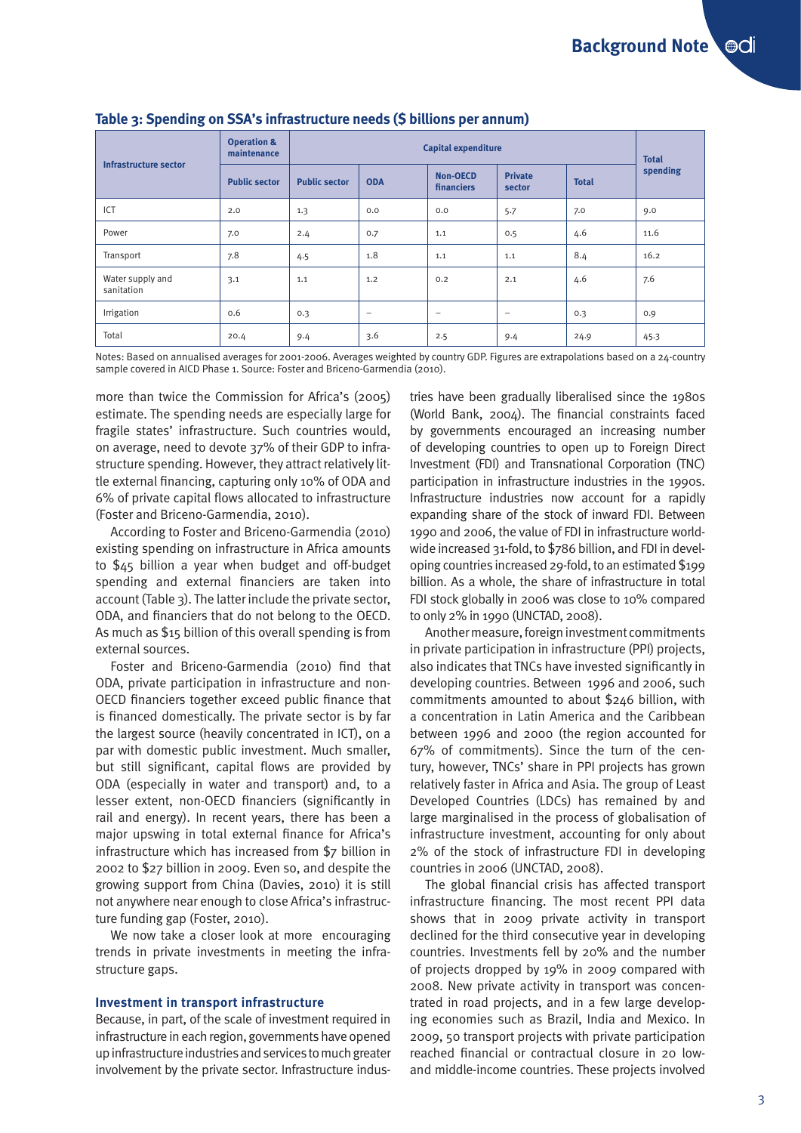| Infrastructure sector          | <b>Operation &amp;</b><br>maintenance | <b>Capital expenditure</b> |                   |                               |                          |              | <b>Total</b> |
|--------------------------------|---------------------------------------|----------------------------|-------------------|-------------------------------|--------------------------|--------------|--------------|
|                                | <b>Public sector</b>                  | <b>Public sector</b>       | <b>ODA</b>        | <b>Non-OECD</b><br>financiers | <b>Private</b><br>sector | <b>Total</b> | spending     |
| ICT                            | 2.0                                   | 1.3                        | 0.0               | 0.0                           | 5.7                      | 7.0          | 9.0          |
| Power                          | 7.0                                   | 2.4                        | 0.7               | 1.1                           | 0.5                      | 4.6          | 11.6         |
| Transport                      | 7.8                                   | 4.5                        | 1.8               | 1.1                           | 1.1                      | 8.4          | 16.2         |
| Water supply and<br>sanitation | 3.1                                   | 1.1                        | 1.2               | 0.2                           | 2.1                      | 4.6          | 7.6          |
| Irrigation                     | 0.6                                   | 0.3                        | $\qquad \qquad -$ | $\qquad \qquad$               | $\qquad \qquad -$        | 0.3          | 0.9          |
| Total                          | 20.4                                  | 9.4                        | 3.6               | 2.5                           | 9.4                      | 24.9         | 45.3         |

### **Table 3: Spending on SSA's infrastructure needs (\$ billions per annum)**

Notes: Based on annualised averages for 2001-2006. Averages weighted by country GDP. Figures are extrapolations based on a 24-country sample covered in AICD Phase 1. Source: Foster and Briceno-Garmendia (2010).

more than twice the Commission for Africa's (2005) estimate. The spending needs are especially large for fragile states' infrastructure. Such countries would, on average, need to devote 37% of their GDP to infrastructure spending. However, they attract relatively little external financing, capturing only 10% of ODA and 6% of private capital flows allocated to infrastructure (Foster and Briceno-Garmendia, 2010).

According to Foster and Briceno-Garmendia (2010) existing spending on infrastructure in Africa amounts to \$45 billion a year when budget and off-budget spending and external financiers are taken into account (Table 3). The latter include the private sector, ODA, and financiers that do not belong to the OECD. As much as \$15 billion of this overall spending is from external sources.

Foster and Briceno-Garmendia (2010) find that ODA, private participation in infrastructure and non-OECD financiers together exceed public finance that is financed domestically. The private sector is by far the largest source (heavily concentrated in ICT), on a par with domestic public investment. Much smaller, but still significant, capital flows are provided by ODA (especially in water and transport) and, to a lesser extent, non-OECD financiers (significantly in rail and energy). In recent years, there has been a major upswing in total external finance for Africa's infrastructure which has increased from \$7 billion in 2002 to \$27 billion in 2009. Even so, and despite the growing support from China (Davies, 2010) it is still not anywhere near enough to close Africa's infrastructure funding gap (Foster, 2010).

We now take a closer look at more encouraging trends in private investments in meeting the infrastructure gaps.

#### **Investment in transport infrastructure**

Because, in part, of the scale of investment required in infrastructure in each region, governments have opened up infrastructure industries and services to much greater involvement by the private sector. Infrastructure industries have been gradually liberalised since the 1980s (World Bank, 2004). The financial constraints faced by governments encouraged an increasing number of developing countries to open up to Foreign Direct Investment (FDI) and Transnational Corporation (TNC) participation in infrastructure industries in the 1990s. Infrastructure industries now account for a rapidly expanding share of the stock of inward FDI. Between 1990 and 2006, the value of FDI in infrastructure worldwide increased 31-fold, to \$786 billion, and FDI in developing countries increased 29-fold, to an estimated \$199 billion. As a whole, the share of infrastructure in total FDI stock globally in 2006 was close to 10% compared to only 2% in 1990 (UNCTAD, 2008).

Another measure, foreign investment commitments in private participation in infrastructure (PPI) projects, also indicates that TNCs have invested significantly in developing countries. Between 1996 and 2006, such commitments amounted to about \$246 billion, with a concentration in Latin America and the Caribbean between 1996 and 2000 (the region accounted for 67% of commitments). Since the turn of the century, however, TNCs' share in PPI projects has grown relatively faster in Africa and Asia. The group of Least Developed Countries (LDCs) has remained by and large marginalised in the process of globalisation of infrastructure investment, accounting for only about 2% of the stock of infrastructure FDI in developing countries in 2006 (UNCTAD, 2008).

The global financial crisis has affected transport infrastructure financing. The most recent PPI data shows that in 2009 private activity in transport declined for the third consecutive year in developing countries. Investments fell by 20% and the number of projects dropped by 19% in 2009 compared with 2008. New private activity in transport was concentrated in road projects, and in a few large developing economies such as Brazil, India and Mexico. In 2009, 50 transport projects with private participation reached financial or contractual closure in 20 lowand middle-income countries. These projects involved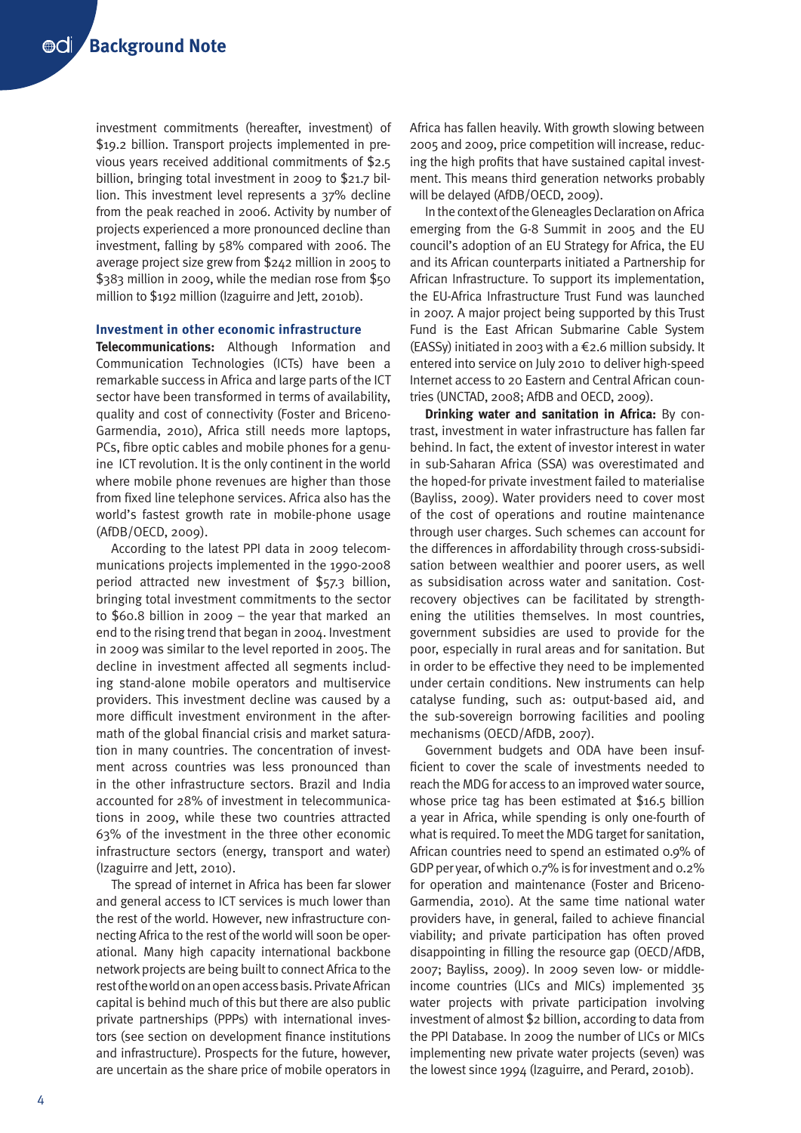investment commitments (hereafter, investment) of \$19.2 billion. Transport projects implemented in previous years received additional commitments of \$2.5 billion, bringing total investment in 2009 to \$21.7 billion. This investment level represents a 37% decline from the peak reached in 2006. Activity by number of projects experienced a more pronounced decline than investment, falling by 58% compared with 2006. The average project size grew from \$242 million in 2005 to \$383 million in 2009, while the median rose from \$50 million to \$192 million (Izaguirre and Jett, 2010b).

## **Investment in other economic infrastructure**

**Telecommunications:** Although Information and Communication Technologies (ICTs) have been a remarkable success in Africa and large parts of the ICT sector have been transformed in terms of availability, quality and cost of connectivity (Foster and Briceno-Garmendia, 2010), Africa still needs more laptops, PCs, fibre optic cables and mobile phones for a genuine ICT revolution. It is the only continent in the world where mobile phone revenues are higher than those from fixed line telephone services. Africa also has the world's fastest growth rate in mobile-phone usage (AfDB/OECD, 2009).

According to the latest PPI data in 2009 telecommunications projects implemented in the 1990-2008 period attracted new investment of \$57.3 billion, bringing total investment commitments to the sector to \$60.8 billion in 2009 – the year that marked an end to the rising trend that began in 2004. Investment in 2009 was similar to the level reported in 2005. The decline in investment affected all segments including stand-alone mobile operators and multiservice providers. This investment decline was caused by a more difficult investment environment in the aftermath of the global financial crisis and market saturation in many countries. The concentration of investment across countries was less pronounced than in the other infrastructure sectors. Brazil and India accounted for 28% of investment in telecommunications in 2009, while these two countries attracted 63% of the investment in the three other economic infrastructure sectors (energy, transport and water) (Izaguirre and Jett, 2010).

The spread of internet in Africa has been far slower and general access to ICT services is much lower than the rest of the world. However, new infrastructure connecting Africa to the rest of the world will soon be operational. Many high capacity international backbone network projects are being built to connect Africa to the rest of the world on an open access basis. Private African capital is behind much of this but there are also public private partnerships (PPPs) with international investors (see section on development finance institutions and infrastructure). Prospects for the future, however, are uncertain as the share price of mobile operators in Africa has fallen heavily. With growth slowing between 2005 and 2009, price competition will increase, reducing the high profits that have sustained capital investment. This means third generation networks probably will be delayed (AfDB/OECD, 2009).

In the context of the Gleneagles Declaration on Africa emerging from the G-8 Summit in 2005 and the EU council's adoption of an EU Strategy for Africa, the EU and its African counterparts initiated a Partnership for African Infrastructure. To support its implementation, the EU-Africa Infrastructure Trust Fund was launched in 2007. A major project being supported by this Trust Fund is the East African Submarine Cable System (EASSy) initiated in 2003 with a  $\epsilon$ 2.6 million subsidy. It entered into service on July 2010 to deliver high-speed Internet access to 20 Eastern and Central African countries (UNCTAD, 2008; AfDB and OECD, 2009).

**Drinking water and sanitation in Africa:** By contrast, investment in water infrastructure has fallen far behind. In fact, the extent of investor interest in water in sub-Saharan Africa (SSA) was overestimated and the hoped-for private investment failed to materialise (Bayliss, 2009). Water providers need to cover most of the cost of operations and routine maintenance through user charges. Such schemes can account for the differences in affordability through cross-subsidisation between wealthier and poorer users, as well as subsidisation across water and sanitation. Costrecovery objectives can be facilitated by strengthening the utilities themselves. In most countries, government subsidies are used to provide for the poor, especially in rural areas and for sanitation. But in order to be effective they need to be implemented under certain conditions. New instruments can help catalyse funding, such as: output-based aid, and the sub-sovereign borrowing facilities and pooling mechanisms (OECD/AfDB, 2007).

Government budgets and ODA have been insufficient to cover the scale of investments needed to reach the MDG for access to an improved water source, whose price tag has been estimated at \$16.5 billion a year in Africa, while spending is only one-fourth of what is required. To meet the MDG target for sanitation, African countries need to spend an estimated 0.9% of GDP per year, of which 0.7% is for investment and 0.2% for operation and maintenance (Foster and Briceno-Garmendia, 2010). At the same time national water providers have, in general, failed to achieve financial viability; and private participation has often proved disappointing in filling the resource gap (OECD/AfDB, 2007; Bayliss, 2009). In 2009 seven low- or middleincome countries (LICs and MICs) implemented 35 water projects with private participation involving investment of almost \$2 billion, according to data from the PPI Database. In 2009 the number of LICs or MICs implementing new private water projects (seven) was the lowest since 1994 (Izaguirre, and Perard, 2010b).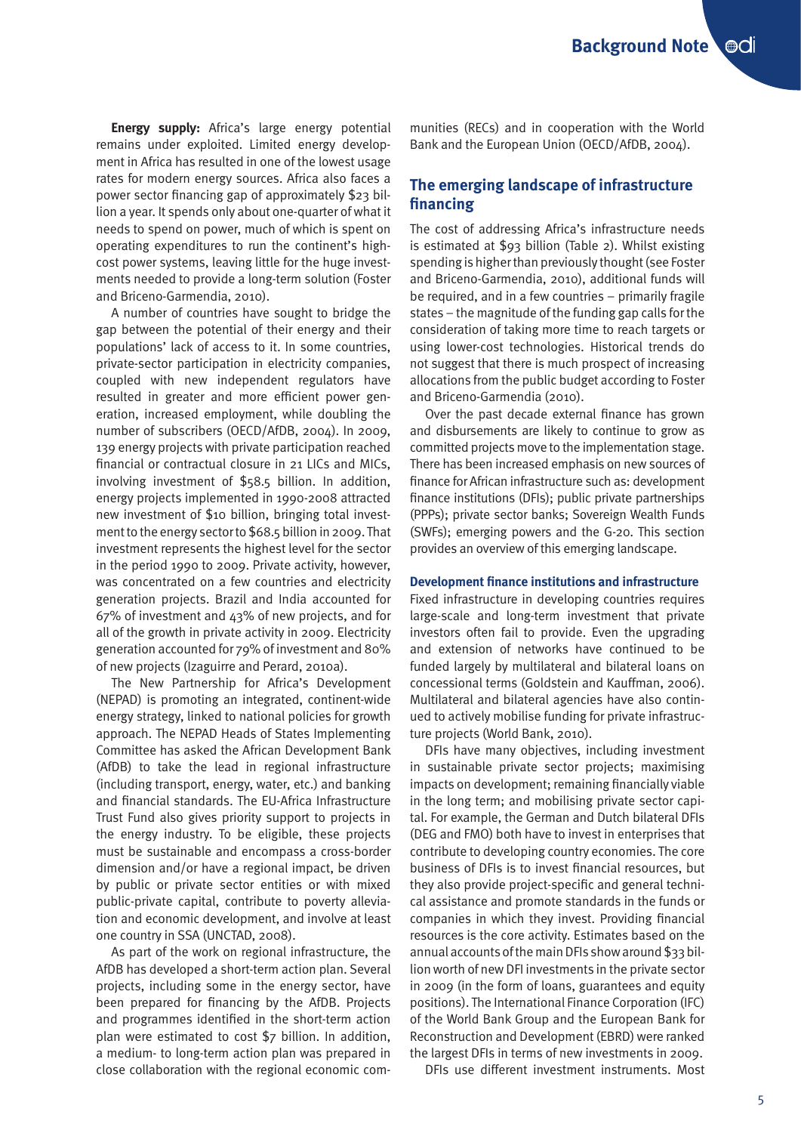**Energy supply:** Africa's large energy potential remains under exploited. Limited energy development in Africa has resulted in one of the lowest usage rates for modern energy sources. Africa also faces a power sector financing gap of approximately \$23 billion a year. It spends only about one-quarter of what it needs to spend on power, much of which is spent on operating expenditures to run the continent's highcost power systems, leaving little for the huge investments needed to provide a long-term solution (Foster and Briceno-Garmendia, 2010).

A number of countries have sought to bridge the gap between the potential of their energy and their populations' lack of access to it. In some countries, private-sector participation in electricity companies, coupled with new independent regulators have resulted in greater and more efficient power generation, increased employment, while doubling the number of subscribers (OECD/AfDB, 2004). In 2009, 139 energy projects with private participation reached financial or contractual closure in 21 LICs and MICs, involving investment of \$58.5 billion. In addition, energy projects implemented in 1990-2008 attracted new investment of \$10 billion, bringing total investment to the energy sector to \$68.5 billion in 2009. That investment represents the highest level for the sector in the period 1990 to 2009. Private activity, however, was concentrated on a few countries and electricity generation projects. Brazil and India accounted for 67% of investment and 43% of new projects, and for all of the growth in private activity in 2009. Electricity generation accounted for 79% of investment and 80% of new projects (Izaguirre and Perard, 2010a).

The New Partnership for Africa's Development (NEPAD) is promoting an integrated, continent-wide energy strategy, linked to national policies for growth approach. The NEPAD Heads of States Implementing Committee has asked the African Development Bank (AfDB) to take the lead in regional infrastructure (including transport, energy, water, etc.) and banking and financial standards. The EU-Africa Infrastructure Trust Fund also gives priority support to projects in the energy industry. To be eligible, these projects must be sustainable and encompass a cross-border dimension and/or have a regional impact, be driven by public or private sector entities or with mixed public-private capital, contribute to poverty alleviation and economic development, and involve at least one country in SSA (UNCTAD, 2008).

As part of the work on regional infrastructure, the AfDB has developed a short-term action plan. Several projects, including some in the energy sector, have been prepared for financing by the AfDB. Projects and programmes identified in the short-term action plan were estimated to cost \$7 billion. In addition, a medium- to long-term action plan was prepared in close collaboration with the regional economic communities (RECs) and in cooperation with the World Bank and the European Union (OECD/AfDB, 2004).

# **The emerging landscape of infrastructure financing**

The cost of addressing Africa's infrastructure needs is estimated at \$93 billion (Table 2). Whilst existing spending is higher than previously thought (see Foster and Briceno-Garmendia, 2010), additional funds will be required, and in a few countries – primarily fragile states – the magnitude of the funding gap calls for the consideration of taking more time to reach targets or using lower-cost technologies. Historical trends do not suggest that there is much prospect of increasing allocations from the public budget according to Foster and Briceno-Garmendia (2010).

Over the past decade external finance has grown and disbursements are likely to continue to grow as committed projects move to the implementation stage. There has been increased emphasis on new sources of finance for African infrastructure such as: development finance institutions (DFIs); public private partnerships (PPPs); private sector banks; Sovereign Wealth Funds (SWFs); emerging powers and the G-20. This section provides an overview of this emerging landscape.

#### **Development finance institutions and infrastructure**

Fixed infrastructure in developing countries requires large-scale and long-term investment that private investors often fail to provide. Even the upgrading and extension of networks have continued to be funded largely by multilateral and bilateral loans on concessional terms (Goldstein and Kauffman, 2006). Multilateral and bilateral agencies have also continued to actively mobilise funding for private infrastructure projects (World Bank, 2010).

DFIs have many objectives, including investment in sustainable private sector projects; maximising impacts on development; remaining financially viable in the long term; and mobilising private sector capital. For example, the German and Dutch bilateral DFIs (DEG and FMO) both have to invest in enterprises that contribute to developing country economies. The core business of DFIs is to invest financial resources, but they also provide project-specific and general technical assistance and promote standards in the funds or companies in which they invest. Providing financial resources is the core activity. Estimates based on the annual accounts of the main DFIs show around \$33 billion worth of new DFI investments in the private sector in 2009 (in the form of loans, guarantees and equity positions). The International Finance Corporation (IFC) of the World Bank Group and the European Bank for Reconstruction and Development (EBRD) were ranked the largest DFIs in terms of new investments in 2009.

DFIs use different investment instruments. Most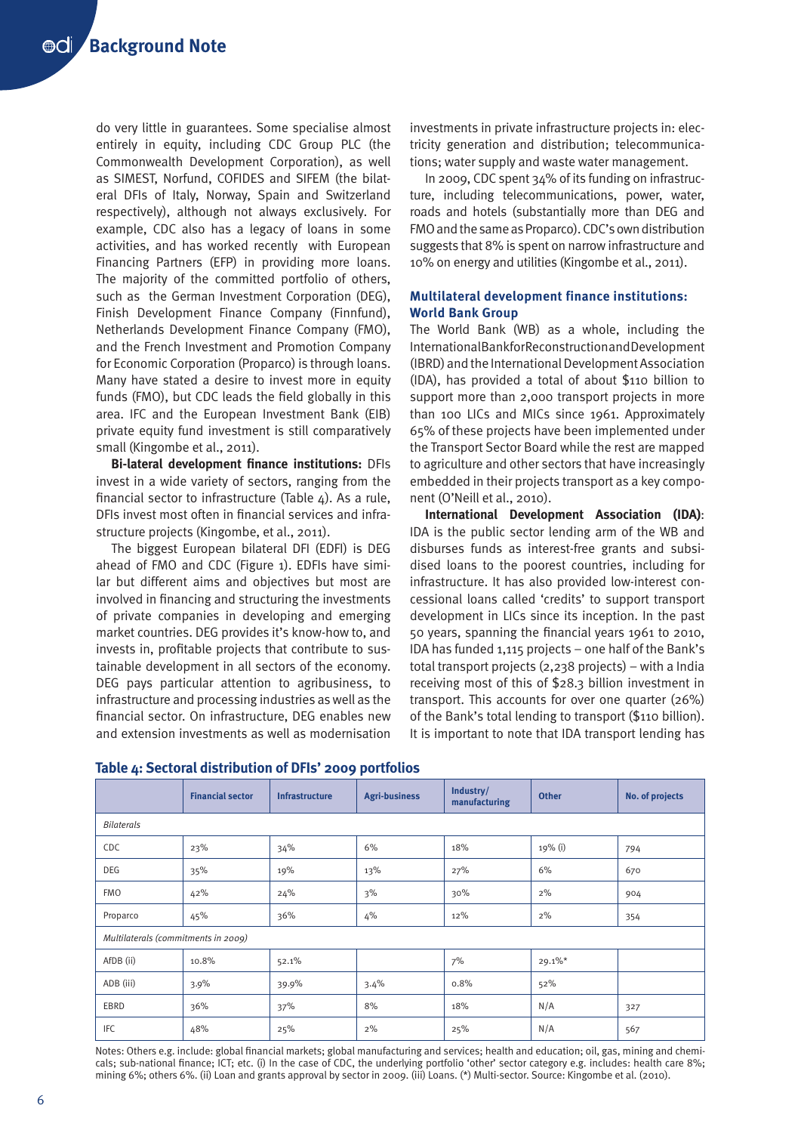do very little in guarantees. Some specialise almost entirely in equity, including CDC Group PLC (the Commonwealth Development Corporation), as well as SIMEST, Norfund, COFIDES and SIFEM (the bilateral DFIs of Italy, Norway, Spain and Switzerland respectively), although not always exclusively. For example, CDC also has a legacy of loans in some activities, and has worked recently with European Financing Partners (EFP) in providing more loans. The majority of the committed portfolio of others, such as the German Investment Corporation (DEG), Finish Development Finance Company (Finnfund), Netherlands Development Finance Company (FMO), and the French Investment and Promotion Company for Economic Corporation (Proparco) is through loans. Many have stated a desire to invest more in equity funds (FMO), but CDC leads the field globally in this area. IFC and the European Investment Bank (EIB) private equity fund investment is still comparatively small (Kingombe et al., 2011).

**Bi-lateral development finance institutions:** DFIs invest in a wide variety of sectors, ranging from the financial sector to infrastructure (Table 4). As a rule, DFIs invest most often in financial services and infrastructure projects (Kingombe, et al., 2011).

The biggest European bilateral DFI (EDFI) is DEG ahead of FMO and CDC (Figure 1). EDFIs have similar but different aims and objectives but most are involved in financing and structuring the investments of private companies in developing and emerging market countries. DEG provides it's know-how to, and invests in, profitable projects that contribute to sustainable development in all sectors of the economy. DEG pays particular attention to agribusiness, to infrastructure and processing industries as well as the financial sector. On infrastructure, DEG enables new and extension investments as well as modernisation

investments in private infrastructure projects in: electricity generation and distribution; telecommunications; water supply and waste water management.

In 2009, CDC spent 34% of its funding on infrastructure, including telecommunications, power, water, roads and hotels (substantially more than DEG and FMO and the same as Proparco). CDC's own distribution suggests that 8% is spent on narrow infrastructure and 10% on energy and utilities (Kingombe et al., 2011).

# **Multilateral development finance institutions: World Bank Group**

The World Bank (WB) as a whole, including the International Bank for Reconstruction and Development (IBRD) and the International Development Association (IDA), has provided a total of about \$110 billion to support more than 2,000 transport projects in more than 100 LICs and MICs since 1961. Approximately 65% of these projects have been implemented under the Transport Sector Board while the rest are mapped to agriculture and other sectors that have increasingly embedded in their projects transport as a key component (O'Neill et al., 2010).

**International Development Association (IDA)**: IDA is the public sector lending arm of the WB and disburses funds as interest-free grants and subsidised loans to the poorest countries, including for infrastructure. It has also provided low-interest concessional loans called 'credits' to support transport development in LICs since its inception. In the past 50 years, spanning the financial years 1961 to 2010, IDA has funded 1,115 projects – one half of the Bank's total transport projects (2,238 projects) – with a India receiving most of this of \$28.3 billion investment in transport. This accounts for over one quarter (26%) of the Bank's total lending to transport (\$110 billion). It is important to note that IDA transport lending has

|                                     | <b>Financial sector</b> | <b>Infrastructure</b> | <b>Agri-business</b> | Industry/<br>manufacturing | <b>Other</b> | No. of projects |  |  |
|-------------------------------------|-------------------------|-----------------------|----------------------|----------------------------|--------------|-----------------|--|--|
| <b>Bilaterals</b>                   |                         |                       |                      |                            |              |                 |  |  |
| CDC                                 | 23%                     | 34%                   | 6%                   | 18%                        | 19% (i)      | 794             |  |  |
| DEG                                 | 35%                     | 19%                   | 13%                  | 27%                        | 6%           | 670             |  |  |
| <b>FMO</b>                          | 42%                     | 24%                   | 3%                   | 30%                        | $2\%$        | 904             |  |  |
| Proparco                            | 45%                     | 36%                   | $4\%$                | 12%                        | $2\%$        | 354             |  |  |
| Multilaterals (commitments in 2009) |                         |                       |                      |                            |              |                 |  |  |
| AfDB (ii)                           | 10.8%                   | 52.1%                 |                      | 7%                         | $29.1\%$ *   |                 |  |  |
| ADB (iii)                           | 3.9%                    | 39.9%                 | 3.4%                 | 0.8%                       | 52%          |                 |  |  |
| EBRD                                | 36%                     | 37%                   | 8%                   | 18%                        | N/A          | 327             |  |  |
| IFC                                 | 48%                     | 25%                   | 2%                   | 25%                        | N/A          | 567             |  |  |

# **Table 4: Sectoral distribution of DFIs' 2009 portfolios**

Notes: Others e.g. include: global financial markets; global manufacturing and services; health and education; oil, gas, mining and chemicals; sub-national finance; ICT; etc. (i) In the case of CDC, the underlying portfolio 'other' sector category e.g. includes: health care 8%; mining 6%; others 6%. (ii) Loan and grants approval by sector in 2009. (iii) Loans. (\*) Multi-sector. Source: Kingombe et al. (2010).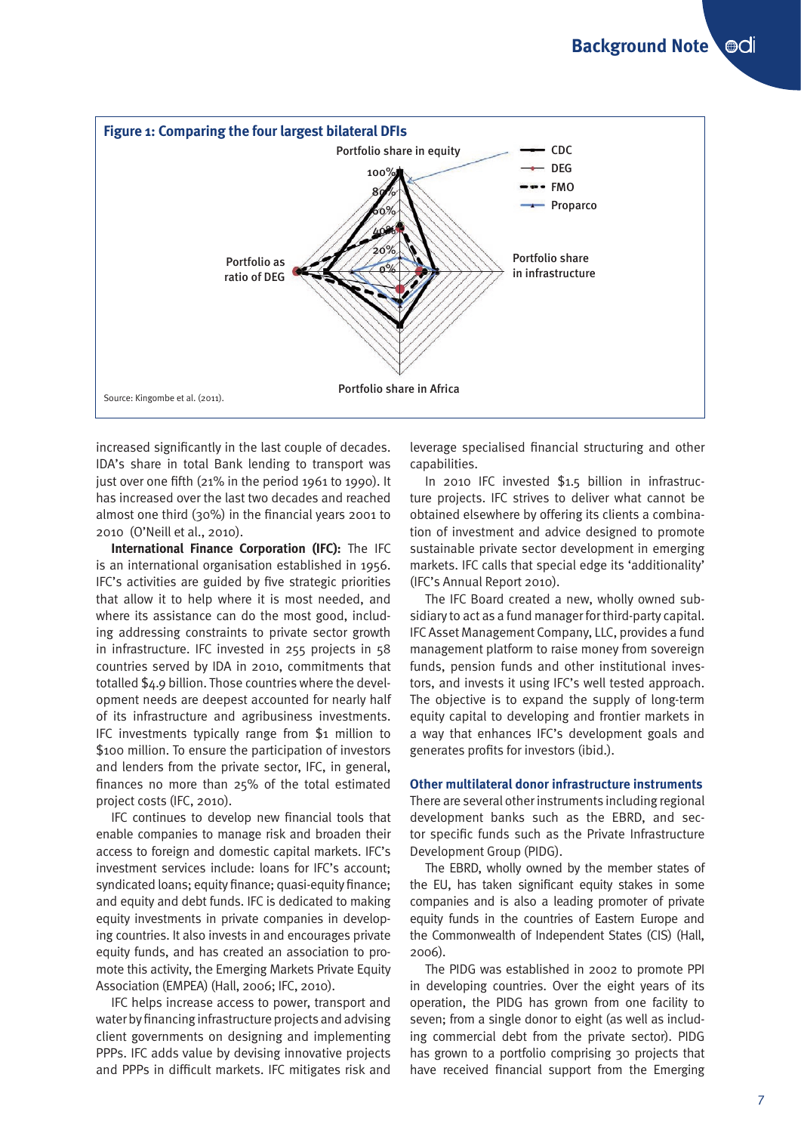

increased significantly in the last couple of decades. IDA's share in total Bank lending to transport was just over one fifth (21% in the period 1961 to 1990). It has increased over the last two decades and reached almost one third (30%) in the financial years 2001 to 2010 (O'Neill et al., 2010).

**International Finance Corporation (IFC):** The IFC is an international organisation established in 1956. IFC's activities are guided by five strategic priorities that allow it to help where it is most needed, and where its assistance can do the most good, including addressing constraints to private sector growth in infrastructure. IFC invested in 255 projects in 58 countries served by IDA in 2010, commitments that totalled \$4.9 billion. Those countries where the development needs are deepest accounted for nearly half of its infrastructure and agribusiness investments. IFC investments typically range from \$1 million to \$100 million. To ensure the participation of investors and lenders from the private sector, IFC, in general, finances no more than 25% of the total estimated project costs (IFC, 2010).

IFC continues to develop new financial tools that enable companies to manage risk and broaden their access to foreign and domestic capital markets. IFC's investment services include: loans for IFC's account; syndicated loans; equity finance; quasi-equity finance; and equity and debt funds. IFC is dedicated to making equity investments in private companies in developing countries. It also invests in and encourages private equity funds, and has created an association to promote this activity, the Emerging Markets Private Equity Association (EMPEA) (Hall, 2006; IFC, 2010).

IFC helps increase access to power, transport and water by financing infrastructure projects and advising client governments on designing and implementing PPPs. IFC adds value by devising innovative projects and PPPs in difficult markets. IFC mitigates risk and leverage specialised financial structuring and other capabilities.

In 2010 IFC invested \$1.5 billion in infrastructure projects. IFC strives to deliver what cannot be obtained elsewhere by offering its clients a combination of investment and advice designed to promote sustainable private sector development in emerging markets. IFC calls that special edge its 'additionality' (IFC's Annual Report 2010).

The IFC Board created a new, wholly owned subsidiary to act as a fund manager for third-party capital. IFC Asset Management Company, LLC, provides a fund management platform to raise money from sovereign funds, pension funds and other institutional investors, and invests it using IFC's well tested approach. The objective is to expand the supply of long-term equity capital to developing and frontier markets in a way that enhances IFC's development goals and generates profits for investors (ibid.).

# **Other multilateral donor infrastructure instruments**

There are several other instruments including regional development banks such as the EBRD, and sector specific funds such as the Private Infrastructure Development Group (PIDG).

The EBRD, wholly owned by the member states of the EU, has taken significant equity stakes in some companies and is also a leading promoter of private equity funds in the countries of Eastern Europe and the Commonwealth of Independent States (CIS) (Hall, 2006).

The PIDG was established in 2002 to promote PPI in developing countries. Over the eight years of its operation, the PIDG has grown from one facility to seven; from a single donor to eight (as well as including commercial debt from the private sector). PIDG has grown to a portfolio comprising 30 projects that have received financial support from the Emerging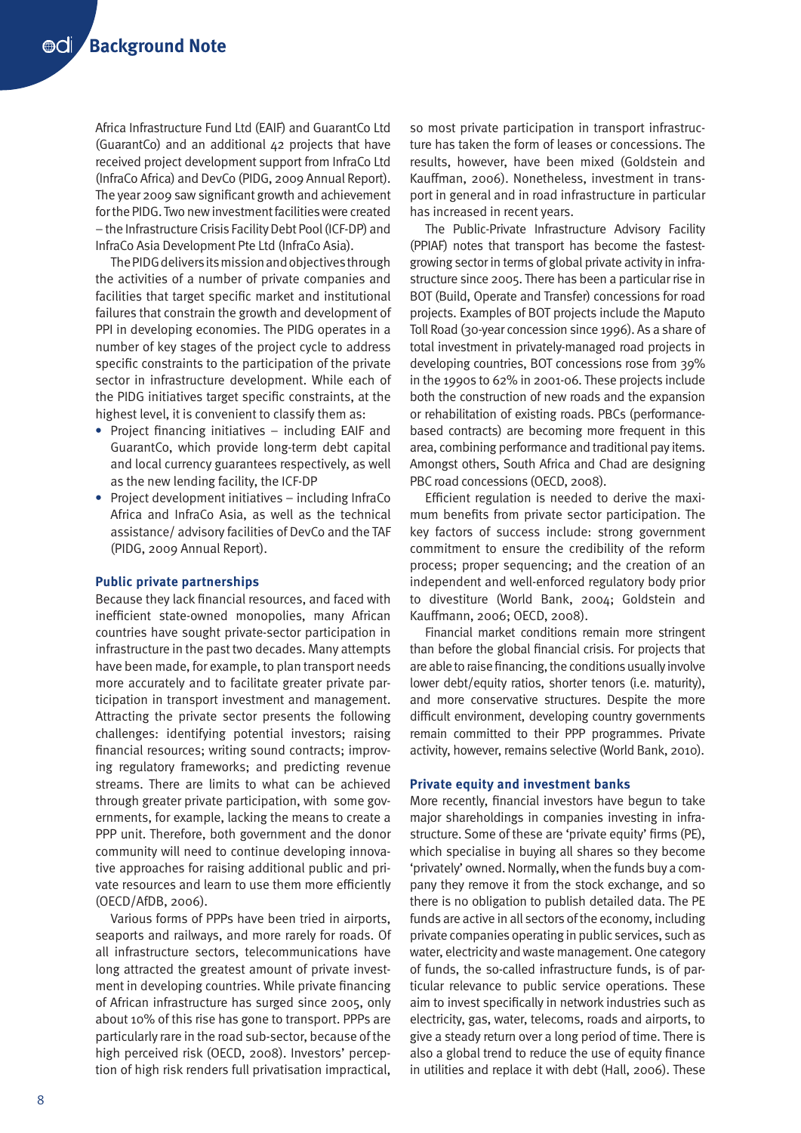Africa Infrastructure Fund Ltd (EAIF) and GuarantCo Ltd (GuarantCo) and an additional 42 projects that have received project development support from InfraCo Ltd (InfraCo Africa) and DevCo (PIDG, 2009 Annual Report). The year 2009 saw significant growth and achievement for the PIDG. Two new investment facilities were created – the Infrastructure Crisis Facility Debt Pool (ICF-DP) and InfraCo Asia Development Pte Ltd (InfraCo Asia).

The PIDG delivers its mission and objectives through the activities of a number of private companies and facilities that target specific market and institutional failures that constrain the growth and development of PPI in developing economies. The PIDG operates in a number of key stages of the project cycle to address specific constraints to the participation of the private sector in infrastructure development. While each of the PIDG initiatives target specific constraints, at the highest level, it is convenient to classify them as:

- **•** Project financing initiatives including EAIF and GuarantCo, which provide long-term debt capital and local currency guarantees respectively, as well as the new lending facility, the ICF-DP
- **•** Project development initiatives including InfraCo Africa and InfraCo Asia, as well as the technical assistance/ advisory facilities of DevCo and the TAF (PIDG, 2009 Annual Report).

### **Public private partnerships**

Because they lack financial resources, and faced with inefficient state-owned monopolies, many African countries have sought private-sector participation in infrastructure in the past two decades. Many attempts have been made, for example, to plan transport needs more accurately and to facilitate greater private participation in transport investment and management. Attracting the private sector presents the following challenges: identifying potential investors; raising financial resources; writing sound contracts; improving regulatory frameworks; and predicting revenue streams. There are limits to what can be achieved through greater private participation, with some governments, for example, lacking the means to create a PPP unit. Therefore, both government and the donor community will need to continue developing innovative approaches for raising additional public and private resources and learn to use them more efficiently (OECD/AfDB, 2006).

Various forms of PPPs have been tried in airports, seaports and railways, and more rarely for roads. Of all infrastructure sectors, telecommunications have long attracted the greatest amount of private investment in developing countries. While private financing of African infrastructure has surged since 2005, only about 10% of this rise has gone to transport. PPPs are particularly rare in the road sub-sector, because of the high perceived risk (OECD, 2008). Investors' perception of high risk renders full privatisation impractical,

so most private participation in transport infrastructure has taken the form of leases or concessions. The results, however, have been mixed (Goldstein and Kauffman, 2006). Nonetheless, investment in transport in general and in road infrastructure in particular has increased in recent years.

The Public-Private Infrastructure Advisory Facility (PPIAF) notes that transport has become the fastestgrowing sector in terms of global private activity in infrastructure since 2005. There has been a particular rise in BOT (Build, Operate and Transfer) concessions for road projects. Examples of BOT projects include the Maputo Toll Road (30-year concession since 1996). As a share of total investment in privately-managed road projects in developing countries, BOT concessions rose from 39% in the 1990s to 62% in 2001-06. These projects include both the construction of new roads and the expansion or rehabilitation of existing roads. PBCs (performancebased contracts) are becoming more frequent in this area, combining performance and traditional pay items. Amongst others, South Africa and Chad are designing PBC road concessions (OECD, 2008).

Efficient regulation is needed to derive the maximum benefits from private sector participation. The key factors of success include: strong government commitment to ensure the credibility of the reform process; proper sequencing; and the creation of an independent and well-enforced regulatory body prior to divestiture (World Bank, 2004; Goldstein and Kauffmann, 2006; OECD, 2008).

Financial market conditions remain more stringent than before the global financial crisis. For projects that are able to raise financing, the conditions usually involve lower debt/equity ratios, shorter tenors (i.e. maturity), and more conservative structures. Despite the more difficult environment, developing country governments remain committed to their PPP programmes. Private activity, however, remains selective (World Bank, 2010).

#### **Private equity and investment banks**

More recently, financial investors have begun to take major shareholdings in companies investing in infrastructure. Some of these are 'private equity' firms (PE), which specialise in buying all shares so they become 'privately' owned. Normally, when the funds buy a company they remove it from the stock exchange, and so there is no obligation to publish detailed data. The PE funds are active in all sectors of the economy, including private companies operating in public services, such as water, electricity and waste management. One category of funds, the so-called infrastructure funds, is of particular relevance to public service operations. These aim to invest specifically in network industries such as electricity, gas, water, telecoms, roads and airports, to give a steady return over a long period of time. There is also a global trend to reduce the use of equity finance in utilities and replace it with debt (Hall, 2006). These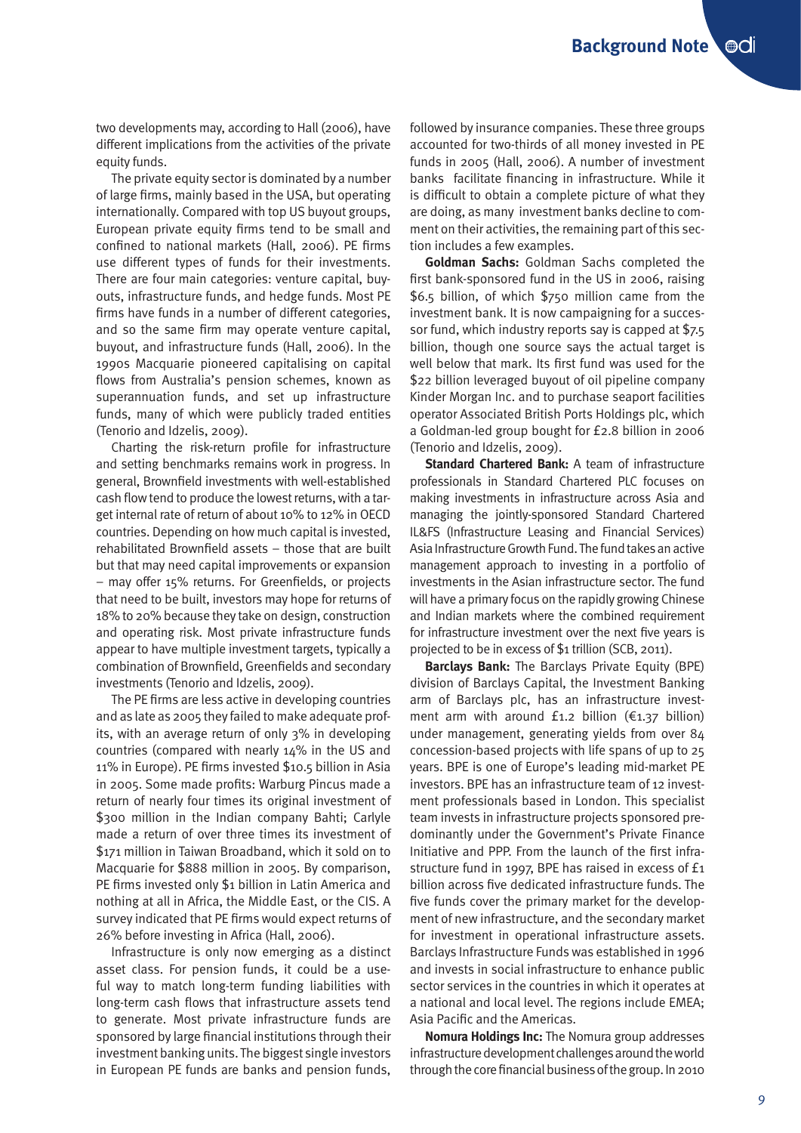two developments may, according to Hall (2006), have different implications from the activities of the private equity funds.

The private equity sector is dominated by a number of large firms, mainly based in the USA, but operating internationally. Compared with top US buyout groups, European private equity firms tend to be small and confined to national markets (Hall, 2006). PE firms use different types of funds for their investments. There are four main categories: venture capital, buyouts, infrastructure funds, and hedge funds. Most PE firms have funds in a number of different categories, and so the same firm may operate venture capital, buyout, and infrastructure funds (Hall, 2006). In the 1990s Macquarie pioneered capitalising on capital flows from Australia's pension schemes, known as superannuation funds, and set up infrastructure funds, many of which were publicly traded entities (Tenorio and Idzelis, 2009).

Charting the risk-return profile for infrastructure and setting benchmarks remains work in progress. In general, Brownfield investments with well-established cash flow tend to produce the lowest returns, with a target internal rate of return of about 10% to 12% in OECD countries. Depending on how much capital is invested, rehabilitated Brownfield assets – those that are built but that may need capital improvements or expansion – may offer 15% returns. For Greenfields, or projects that need to be built, investors may hope for returns of 18% to 20% because they take on design, construction and operating risk. Most private infrastructure funds appear to have multiple investment targets, typically a combination of Brownfield, Greenfields and secondary investments (Tenorio and Idzelis, 2009).

The PE firms are less active in developing countries and as late as 2005 they failed to make adequate profits, with an average return of only 3% in developing countries (compared with nearly 14% in the US and 11% in Europe). PE firms invested \$10.5 billion in Asia in 2005. Some made profits: Warburg Pincus made a return of nearly four times its original investment of \$300 million in the Indian company Bahti; Carlyle made a return of over three times its investment of \$171 million in Taiwan Broadband, which it sold on to Macquarie for \$888 million in 2005. By comparison, PE firms invested only \$1 billion in Latin America and nothing at all in Africa, the Middle East, or the CIS. A survey indicated that PE firms would expect returns of 26% before investing in Africa (Hall, 2006).

Infrastructure is only now emerging as a distinct asset class. For pension funds, it could be a useful way to match long-term funding liabilities with long-term cash flows that infrastructure assets tend to generate. Most private infrastructure funds are sponsored by large financial institutions through their investment banking units. The biggest single investors in European PE funds are banks and pension funds, followed by insurance companies. These three groups accounted for two-thirds of all money invested in PE funds in 2005 (Hall, 2006). A number of investment banks facilitate financing in infrastructure. While it is difficult to obtain a complete picture of what they are doing, as many investment banks decline to comment on their activities, the remaining part of this section includes a few examples.

**Goldman Sachs:** Goldman Sachs completed the first bank-sponsored fund in the US in 2006, raising \$6.5 billion, of which \$750 million came from the investment bank. It is now campaigning for a successor fund, which industry reports say is capped at \$7.5 billion, though one source says the actual target is well below that mark. Its first fund was used for the \$22 billion leveraged buyout of oil pipeline company Kinder Morgan Inc. and to purchase seaport facilities operator Associated British Ports Holdings plc, which a Goldman-led group bought for £2.8 billion in 2006 (Tenorio and Idzelis, 2009).

**Standard Chartered Bank: A team of infrastructure** professionals in Standard Chartered PLC focuses on making investments in infrastructure across Asia and managing the jointly-sponsored Standard Chartered IL&FS (Infrastructure Leasing and Financial Services) Asia Infrastructure Growth Fund. The fund takes an active management approach to investing in a portfolio of investments in the Asian infrastructure sector. The fund will have a primary focus on the rapidly growing Chinese and Indian markets where the combined requirement for infrastructure investment over the next five years is projected to be in excess of \$1 trillion (SCB, 2011).

**Barclays Bank:** The Barclays Private Equity (BPE) division of Barclays Capital, the Investment Banking arm of Barclays plc, has an infrastructure investment arm with around  $f_{1,2}$  billion ( $f_{1,37}$  billion) under management, generating yields from over 84 concession-based projects with life spans of up to 25 years. BPE is one of Europe's leading mid-market PE investors. BPE has an infrastructure team of 12 investment professionals based in London. This specialist team invests in infrastructure projects sponsored predominantly under the Government's Private Finance Initiative and PPP. From the launch of the first infrastructure fund in 1997, BPE has raised in excess of £1 billion across five dedicated infrastructure funds. The five funds cover the primary market for the development of new infrastructure, and the secondary market for investment in operational infrastructure assets. Barclays Infrastructure Funds was established in 1996 and invests in social infrastructure to enhance public sector services in the countries in which it operates at a national and local level. The regions include EMEA; Asia Pacific and the Americas.

**Nomura Holdings Inc:** The Nomura group addresses infrastructure development challenges around the world through the core financial business of the group. In 2010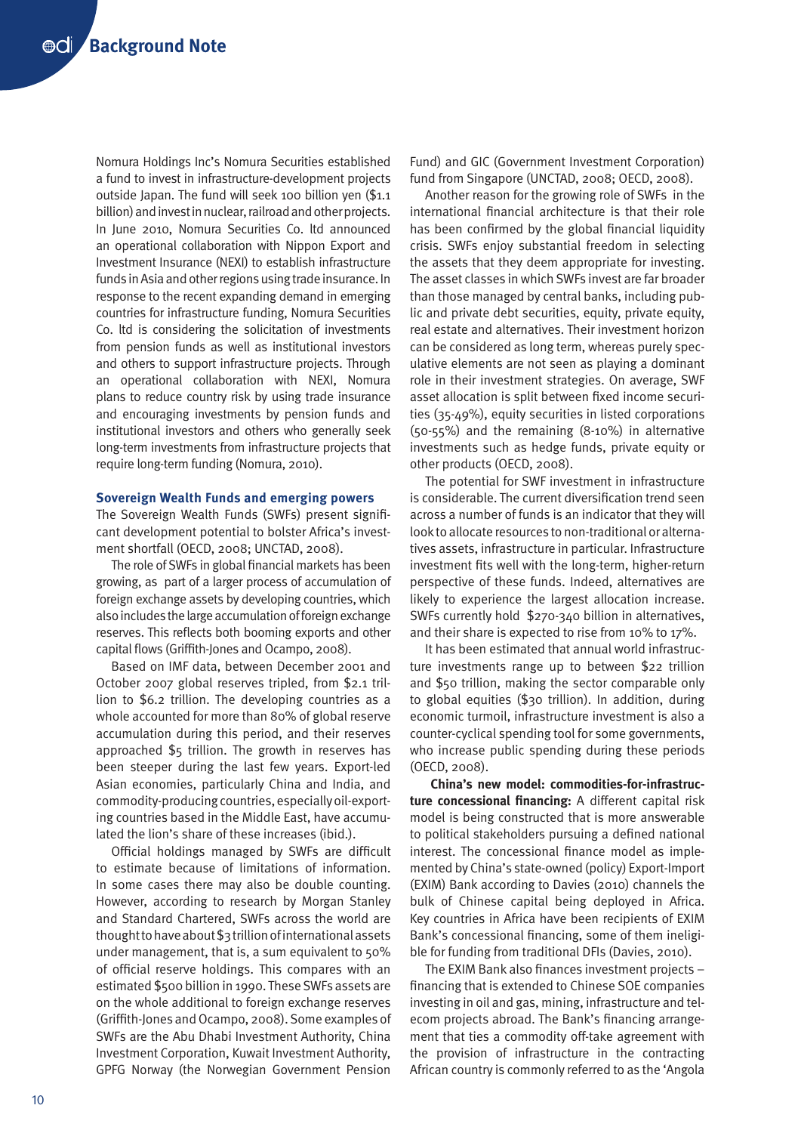Nomura Holdings Inc's Nomura Securities established a fund to invest in infrastructure-development projects outside Japan. The fund will seek 100 billion yen (\$1.1 billion) and invest in nuclear, railroad and other projects. In June 2010, Nomura Securities Co. ltd announced an operational collaboration with Nippon Export and Investment Insurance (NEXI) to establish infrastructure funds in Asia and other regions using trade insurance. In response to the recent expanding demand in emerging countries for infrastructure funding, Nomura Securities Co. ltd is considering the solicitation of investments from pension funds as well as institutional investors and others to support infrastructure projects. Through an operational collaboration with NEXI, Nomura plans to reduce country risk by using trade insurance and encouraging investments by pension funds and institutional investors and others who generally seek long-term investments from infrastructure projects that require long-term funding (Nomura, 2010).

#### **Sovereign Wealth Funds and emerging powers**

The Sovereign Wealth Funds (SWFs) present significant development potential to bolster Africa's investment shortfall (OECD, 2008; UNCTAD, 2008).

The role of SWFs in global financial markets has been growing, as part of a larger process of accumulation of foreign exchange assets by developing countries, which also includes the large accumulation of foreign exchange reserves. This reflects both booming exports and other capital flows (Griffith-Jones and Ocampo, 2008).

Based on IMF data, between December 2001 and October 2007 global reserves tripled, from \$2.1 trillion to \$6.2 trillion. The developing countries as a whole accounted for more than 80% of global reserve accumulation during this period, and their reserves approached \$5 trillion. The growth in reserves has been steeper during the last few years. Export-led Asian economies, particularly China and India, and commodity-producing countries, especially oil-exporting countries based in the Middle East, have accumulated the lion's share of these increases (ibid.).

Official holdings managed by SWFs are difficult to estimate because of limitations of information. In some cases there may also be double counting. However, according to research by Morgan Stanley and Standard Chartered, SWFs across the world are thought to have about \$3 trillion of international assets under management, that is, a sum equivalent to 50% of official reserve holdings. This compares with an estimated \$500 billion in 1990. These SWFs assets are on the whole additional to foreign exchange reserves (Griffith-Jones and Ocampo, 2008). Some examples of SWFs are the Abu Dhabi Investment Authority, China Investment Corporation, Kuwait Investment Authority, GPFG Norway (the Norwegian Government Pension

Fund) and GIC (Government Investment Corporation) fund from Singapore (UNCTAD, 2008; OECD, 2008).

Another reason for the growing role of SWFs in the international financial architecture is that their role has been confirmed by the global financial liquidity crisis. SWFs enjoy substantial freedom in selecting the assets that they deem appropriate for investing. The asset classes in which SWFs invest are far broader than those managed by central banks, including public and private debt securities, equity, private equity, real estate and alternatives. Their investment horizon can be considered as long term, whereas purely speculative elements are not seen as playing a dominant role in their investment strategies. On average, SWF asset allocation is split between fixed income securities (35-49%), equity securities in listed corporations (50-55%) and the remaining (8-10%) in alternative investments such as hedge funds, private equity or other products (OECD, 2008).

The potential for SWF investment in infrastructure is considerable. The current diversification trend seen across a number of funds is an indicator that they will look to allocate resources to non-traditional or alternatives assets, infrastructure in particular. Infrastructure investment fits well with the long-term, higher-return perspective of these funds. Indeed, alternatives are likely to experience the largest allocation increase. SWFs currently hold \$270-340 billion in alternatives, and their share is expected to rise from 10% to 17%.

It has been estimated that annual world infrastructure investments range up to between \$22 trillion and \$50 trillion, making the sector comparable only to global equities (\$30 trillion). In addition, during economic turmoil, infrastructure investment is also a counter-cyclical spending tool for some governments, who increase public spending during these periods (OECD, 2008).

**China's new model: commodities-for-infrastructure concessional financing:** A different capital risk model is being constructed that is more answerable to political stakeholders pursuing a defined national interest. The concessional finance model as implemented by China's state-owned (policy) Export-Import (EXIM) Bank according to Davies (2010) channels the bulk of Chinese capital being deployed in Africa. Key countries in Africa have been recipients of EXIM Bank's concessional financing, some of them ineligible for funding from traditional DFIs (Davies, 2010).

The EXIM Bank also finances investment projects – financing that is extended to Chinese SOE companies investing in oil and gas, mining, infrastructure and telecom projects abroad. The Bank's financing arrangement that ties a commodity off-take agreement with the provision of infrastructure in the contracting African country is commonly referred to as the 'Angola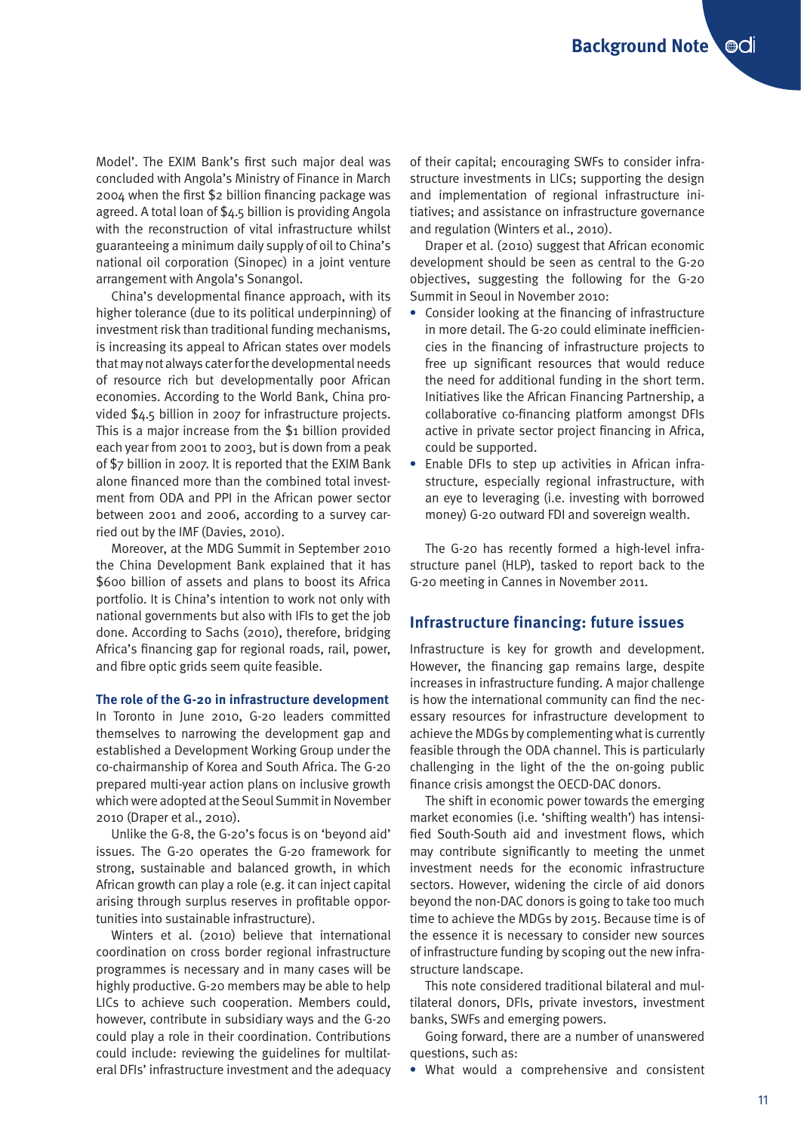Model'. The EXIM Bank's first such major deal was concluded with Angola's Ministry of Finance in March 2004 when the first \$2 billion financing package was agreed. A total loan of \$4.5 billion is providing Angola with the reconstruction of vital infrastructure whilst guaranteeing a minimum daily supply of oil to China's national oil corporation (Sinopec) in a joint venture arrangement with Angola's Sonangol.

China's developmental finance approach, with its higher tolerance (due to its political underpinning) of investment risk than traditional funding mechanisms, is increasing its appeal to African states over models that may not always cater for the developmental needs of resource rich but developmentally poor African economies. According to the World Bank, China provided \$4.5 billion in 2007 for infrastructure projects. This is a major increase from the \$1 billion provided each year from 2001 to 2003, but is down from a peak of \$7 billion in 2007. It is reported that the EXIM Bank alone financed more than the combined total investment from ODA and PPI in the African power sector between 2001 and 2006, according to a survey carried out by the IMF (Davies, 2010).

Moreover, at the MDG Summit in September 2010 the China Development Bank explained that it has \$600 billion of assets and plans to boost its Africa portfolio. It is China's intention to work not only with national governments but also with IFIs to get the job done. According to Sachs (2010), therefore, bridging Africa's financing gap for regional roads, rail, power, and fibre optic grids seem quite feasible.

# **The role of the G-20 in infrastructure development**

In Toronto in June 2010, G-20 leaders committed themselves to narrowing the development gap and established a Development Working Group under the co-chairmanship of Korea and South Africa. The G-20 prepared multi-year action plans on inclusive growth which were adopted at the Seoul Summit in November 2010 (Draper et al., 2010).

Unlike the G-8, the G-20's focus is on 'beyond aid' issues. The G-20 operates the G-20 framework for strong, sustainable and balanced growth, in which African growth can play a role (e.g. it can inject capital arising through surplus reserves in profitable opportunities into sustainable infrastructure).

Winters et al. (2010) believe that international coordination on cross border regional infrastructure programmes is necessary and in many cases will be highly productive. G-20 members may be able to help LICs to achieve such cooperation. Members could, however, contribute in subsidiary ways and the G-20 could play a role in their coordination. Contributions could include: reviewing the guidelines for multilateral DFIs' infrastructure investment and the adequacy of their capital; encouraging SWFs to consider infrastructure investments in LICs; supporting the design and implementation of regional infrastructure initiatives; and assistance on infrastructure governance and regulation (Winters et al., 2010).

Draper et al. (2010) suggest that African economic development should be seen as central to the G-20 objectives, suggesting the following for the G-20 Summit in Seoul in November 2010:

- **•** Consider looking at the financing of infrastructure in more detail. The G-20 could eliminate inefficiencies in the financing of infrastructure projects to free up significant resources that would reduce the need for additional funding in the short term. Initiatives like the African Financing Partnership, a collaborative co-financing platform amongst DFIs active in private sector project financing in Africa, could be supported.
- **•** Enable DFIs to step up activities in African infrastructure, especially regional infrastructure, with an eye to leveraging (i.e. investing with borrowed money) G-20 outward FDI and sovereign wealth.

The G-20 has recently formed a high-level infrastructure panel (HLP), tasked to report back to the G-20 meeting in Cannes in November 2011.

## **Infrastructure financing: future issues**

Infrastructure is key for growth and development. However, the financing gap remains large, despite increases in infrastructure funding. A major challenge is how the international community can find the necessary resources for infrastructure development to achieve the MDGs by complementing what is currently feasible through the ODA channel. This is particularly challenging in the light of the the on-going public finance crisis amongst the OECD-DAC donors.

The shift in economic power towards the emerging market economies (i.e. 'shifting wealth') has intensified South-South aid and investment flows, which may contribute significantly to meeting the unmet investment needs for the economic infrastructure sectors. However, widening the circle of aid donors beyond the non-DAC donors is going to take too much time to achieve the MDGs by 2015. Because time is of the essence it is necessary to consider new sources of infrastructure funding by scoping out the new infrastructure landscape.

This note considered traditional bilateral and multilateral donors, DFIs, private investors, investment banks, SWFs and emerging powers.

Going forward, there are a number of unanswered questions, such as:

**•** What would a comprehensive and consistent